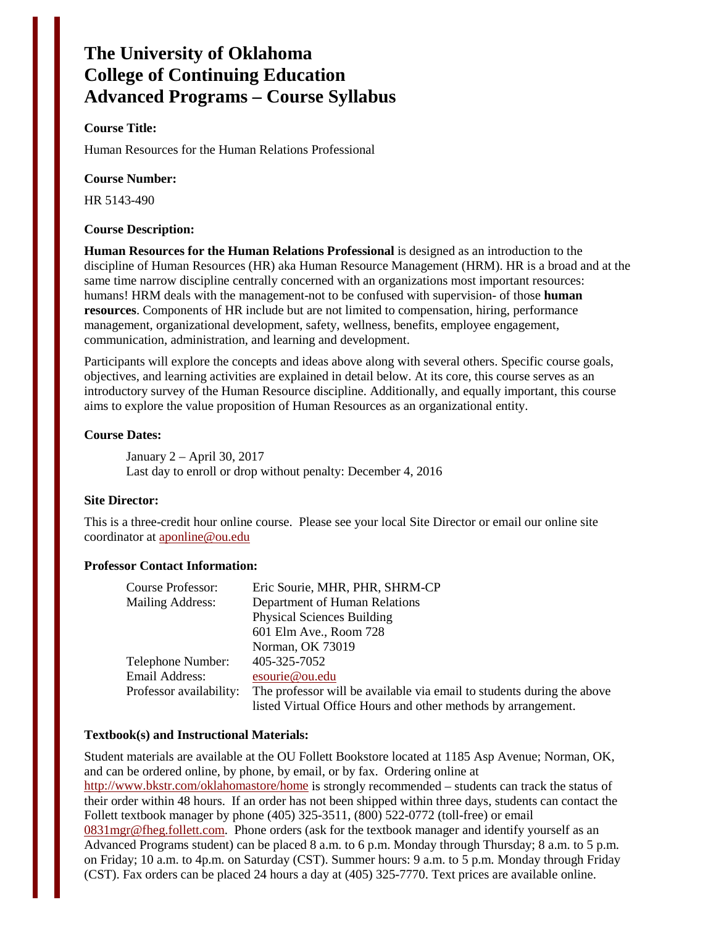# **The University of Oklahoma College of Continuing Education Advanced Programs – Course Syllabus**

## **Course Title:**

Human Resources for the Human Relations Professional

#### **Course Number:**

HR 5143-490

#### **Course Description:**

**Human Resources for the Human Relations Professional** is designed as an introduction to the discipline of Human Resources (HR) aka Human Resource Management (HRM). HR is a broad and at the same time narrow discipline centrally concerned with an organizations most important resources: humans! HRM deals with the management-not to be confused with supervision- of those **human resources**. Components of HR include but are not limited to compensation, hiring, performance management, organizational development, safety, wellness, benefits, employee engagement, communication, administration, and learning and development.

Participants will explore the concepts and ideas above along with several others. Specific course goals, objectives, and learning activities are explained in detail below. At its core, this course serves as an introductory survey of the Human Resource discipline. Additionally, and equally important, this course aims to explore the value proposition of Human Resources as an organizational entity.

#### **Course Dates:**

January 2 – April 30, 2017 Last day to enroll or drop without penalty: December 4, 2016

#### **Site Director:**

This is a three-credit hour online course. Please see your local Site Director or email our online site coordinator at [aponline@ou.edu](mailto:aponline@ou.edu) 

## **Professor Contact Information:**

| Course Professor:       | Eric Sourie, MHR, PHR, SHRM-CP                                         |
|-------------------------|------------------------------------------------------------------------|
| Mailing Address:        | Department of Human Relations                                          |
|                         | <b>Physical Sciences Building</b>                                      |
|                         | 601 Elm Ave., Room 728                                                 |
|                         | Norman, OK 73019                                                       |
| Telephone Number:       | 405-325-7052                                                           |
| Email Address:          | esourie@ou.edu                                                         |
| Professor availability: | The professor will be available via email to students during the above |
|                         | listed Virtual Office Hours and other methods by arrangement.          |

#### **Textbook(s) and Instructional Materials:**

Student materials are available at the OU Follett Bookstore located at 1185 Asp Avenue; Norman, OK, and can be ordered online, by phone, by email, or by fax. Ordering online at <http://www.bkstr.com/oklahomastore/home>is strongly recommended – students can track the status of their order within 48 hours. If an order has not been shipped within three days, students can contact the Follett textbook manager by phone (405) 325-3511, (800) 522-0772 (toll-free) or email [0831mgr@fheg.follett.com.](mailto:0831mgr@fheg.follett.com) Phone orders (ask for the textbook manager and identify yourself as an Advanced Programs student) can be placed 8 a.m. to 6 p.m. Monday through Thursday; 8 a.m. to 5 p.m. on Friday; 10 a.m. to 4p.m. on Saturday (CST). Summer hours: 9 a.m. to 5 p.m. Monday through Friday (CST). Fax orders can be placed 24 hours a day at (405) 325-7770. Text prices are available online.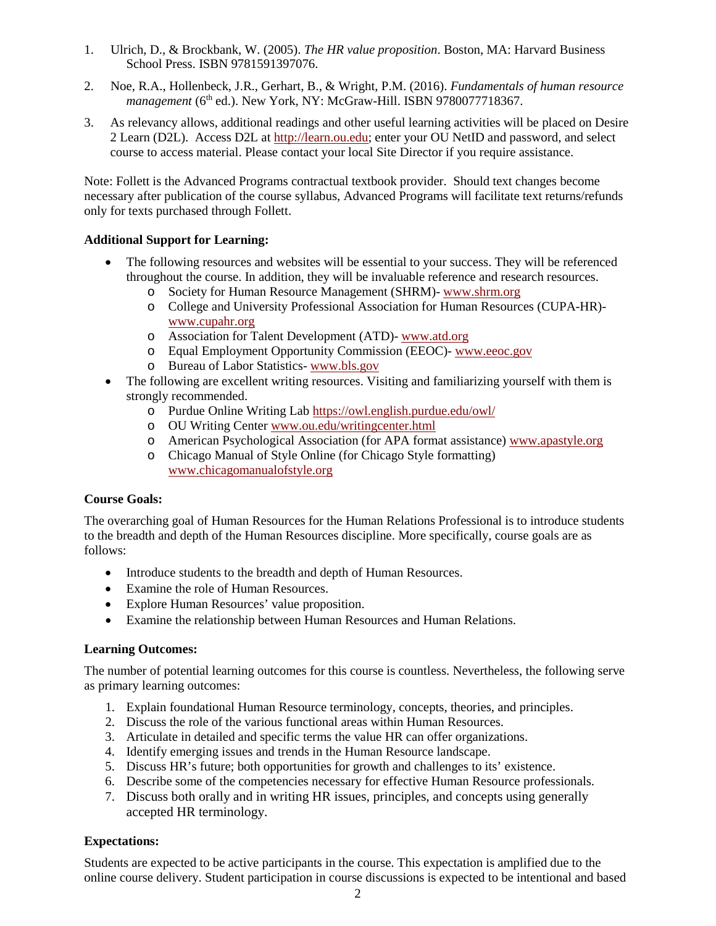- 1. Ulrich, D., & Brockbank, W. (2005). *The HR value proposition*. Boston, MA: Harvard Business School Press. ISBN 9781591397076.
- 2. Noe, R.A., Hollenbeck, J.R., Gerhart, B., & Wright, P.M. (2016). *Fundamentals of human resource management* (6<sup>th</sup> ed.). New York, NY: McGraw-Hill. ISBN 9780077718367.
- 3. As relevancy allows, additional readings and other useful learning activities will be placed on Desire 2 Learn (D2L). Access D2L at [http://learn.ou.edu;](http://learn.ou.edu/) enter your OU NetID and password, and select course to access material. Please contact your local Site Director if you require assistance.

Note: Follett is the Advanced Programs contractual textbook provider. Should text changes become necessary after publication of the course syllabus, Advanced Programs will facilitate text returns/refunds only for texts purchased through Follett.

# **Additional Support for Learning:**

- The following resources and websites will be essential to your success. They will be referenced throughout the course. In addition, they will be invaluable reference and research resources.
	- o Society for Human Resource Management (SHRM)- [www.shrm.org](http://www.shrm.org/)
	- o College and University Professional Association for Human Resources (CUPA-HR) [www.cupahr.org](http://www.cupahr.org/)
	- o Association for Talent Development (ATD)- [www.atd.org](http://www.atd.org/)
	- o Equal Employment Opportunity Commission (EEOC)- [www.eeoc.gov](http://www.eeoc.gov/)
	- o Bureau of Labor Statistics- [www.bls.gov](http://www.bls.gov/)
- The following are excellent writing resources. Visiting and familiarizing yourself with them is strongly recommended.
	- o Purdue Online Writing Lab<https://owl.english.purdue.edu/owl/>
	- o OU Writing Cente[r www.ou.edu/writingcenter.html](http://www.ou.edu/writingcenter.html)
	- o American Psychological Association (for APA format assistance[\) www.apastyle.org](http://www.apastyle.org/)
	- o Chicago Manual of Style Online (for Chicago Style formatting) [www.chicagomanualofstyle.org](http://www.chicagomanualofstyle.org/)

#### **Course Goals:**

The overarching goal of Human Resources for the Human Relations Professional is to introduce students to the breadth and depth of the Human Resources discipline. More specifically, course goals are as follows:

- Introduce students to the breadth and depth of Human Resources.
- Examine the role of Human Resources.
- Explore Human Resources' value proposition.
- Examine the relationship between Human Resources and Human Relations.

## **Learning Outcomes:**

The number of potential learning outcomes for this course is countless. Nevertheless, the following serve as primary learning outcomes:

- 1. Explain foundational Human Resource terminology, concepts, theories, and principles.
- 2. Discuss the role of the various functional areas within Human Resources.
- 3. Articulate in detailed and specific terms the value HR can offer organizations.
- 4. Identify emerging issues and trends in the Human Resource landscape.
- 5. Discuss HR's future; both opportunities for growth and challenges to its' existence.
- 6. Describe some of the competencies necessary for effective Human Resource professionals.
- 7. Discuss both orally and in writing HR issues, principles, and concepts using generally accepted HR terminology.

# **Expectations:**

Students are expected to be active participants in the course. This expectation is amplified due to the online course delivery. Student participation in course discussions is expected to be intentional and based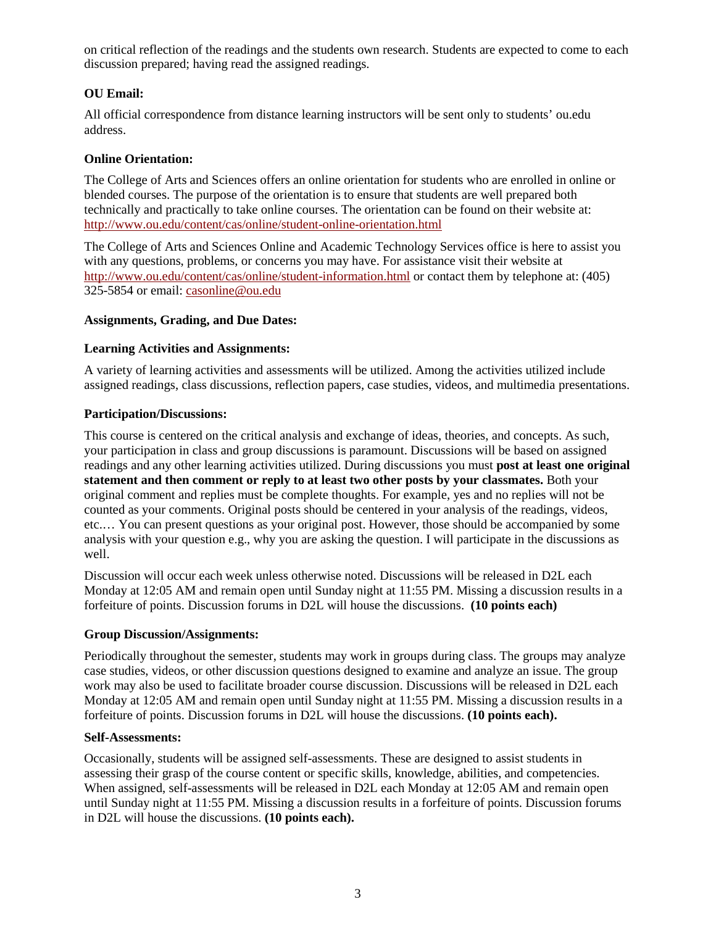on critical reflection of the readings and the students own research. Students are expected to come to each discussion prepared; having read the assigned readings.

# **OU Email:**

All official correspondence from distance learning instructors will be sent only to students' ou.edu address.

# **Online Orientation:**

The College of Arts and Sciences offers an online orientation for students who are enrolled in online or blended courses. The purpose of the orientation is to ensure that students are well prepared both technically and practically to take online courses. The orientation can be found on their website at: <http://www.ou.edu/content/cas/online/student-online-orientation.html>

The College of Arts and Sciences Online and Academic Technology Services office is here to assist you with any questions, problems, or concerns you may have. For assistance visit their website at <http://www.ou.edu/content/cas/online/student-information.html>or contact them by telephone at: (405) 325-5854 or email: [casonline@ou.edu](mailto:casonline@ou.edu)

#### **Assignments, Grading, and Due Dates:**

# **Learning Activities and Assignments:**

A variety of learning activities and assessments will be utilized. Among the activities utilized include assigned readings, class discussions, reflection papers, case studies, videos, and multimedia presentations.

# **Participation/Discussions:**

This course is centered on the critical analysis and exchange of ideas, theories, and concepts. As such, your participation in class and group discussions is paramount. Discussions will be based on assigned readings and any other learning activities utilized. During discussions you must **post at least one original statement and then comment or reply to at least two other posts by your classmates.** Both your original comment and replies must be complete thoughts. For example, yes and no replies will not be counted as your comments. Original posts should be centered in your analysis of the readings, videos, etc.… You can present questions as your original post. However, those should be accompanied by some analysis with your question e.g., why you are asking the question. I will participate in the discussions as well.

Discussion will occur each week unless otherwise noted. Discussions will be released in D2L each Monday at 12:05 AM and remain open until Sunday night at 11:55 PM. Missing a discussion results in a forfeiture of points. Discussion forums in D2L will house the discussions. **(10 points each)**

#### **Group Discussion/Assignments:**

Periodically throughout the semester, students may work in groups during class. The groups may analyze case studies, videos, or other discussion questions designed to examine and analyze an issue. The group work may also be used to facilitate broader course discussion. Discussions will be released in D2L each Monday at 12:05 AM and remain open until Sunday night at 11:55 PM. Missing a discussion results in a forfeiture of points. Discussion forums in D2L will house the discussions. **(10 points each).**

#### **Self-Assessments:**

Occasionally, students will be assigned self-assessments. These are designed to assist students in assessing their grasp of the course content or specific skills, knowledge, abilities, and competencies. When assigned, self-assessments will be released in D2L each Monday at 12:05 AM and remain open until Sunday night at 11:55 PM. Missing a discussion results in a forfeiture of points. Discussion forums in D2L will house the discussions. **(10 points each).**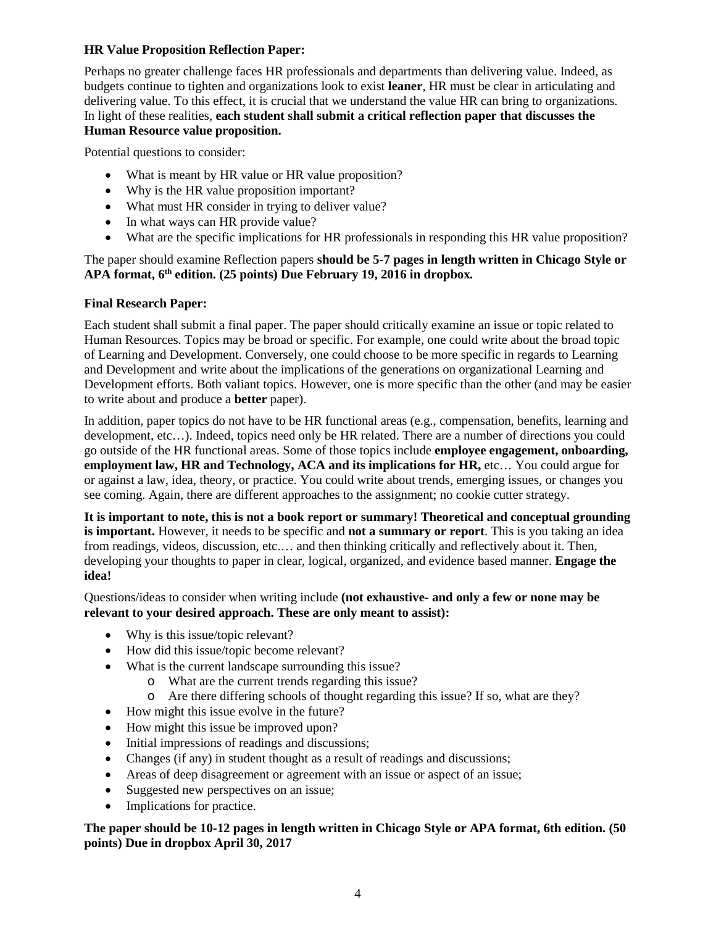## **HR Value Proposition Reflection Paper:**

Perhaps no greater challenge faces HR professionals and departments than delivering value. Indeed, as budgets continue to tighten and organizations look to exist **leaner***,* HR must be clear in articulating and delivering value. To this effect, it is crucial that we understand the value HR can bring to organizations*.*  In light of these realities*,* **each student shall submit a critical reflection paper that discusses the Human Resource value proposition.**

Potential questions to consider:

- What is meant by HR value or HR value proposition?
- Why is the HR value proposition important?
- What must HR consider in trying to deliver value?
- In what ways can HR provide value?
- What are the specific implications for HR professionals in responding this HR value proposition?

# The paper should examine Reflection papers **should be 5-7 pages in length written in Chicago Style or APA format, 6th edition. (25 points) Due February 19, 2016 in dropbox***.*

# **Final Research Paper:**

Each student shall submit a final paper. The paper should critically examine an issue or topic related to Human Resources. Topics may be broad or specific. For example, one could write about the broad topic of Learning and Development. Conversely, one could choose to be more specific in regards to Learning and Development and write about the implications of the generations on organizational Learning and Development efforts. Both valiant topics. However, one is more specific than the other (and may be easier to write about and produce a **better** paper).

In addition, paper topics do not have to be HR functional areas (e.g., compensation, benefits, learning and development, etc…). Indeed, topics need only be HR related. There are a number of directions you could go outside of the HR functional areas. Some of those topics include **employee engagement, onboarding, employment law, HR and Technology, ACA and its implications for HR,** etc… You could argue for or against a law, idea, theory, or practice. You could write about trends, emerging issues, or changes you see coming. Again, there are different approaches to the assignment; no cookie cutter strategy.

**It is important to note, this is not a book report or summary! Theoretical and conceptual grounding is important.** However, it needs to be specific and **not a summary or report**. This is you taking an idea from readings, videos, discussion, etc.… and then thinking critically and reflectively about it. Then, developing your thoughts to paper in clear, logical, organized, and evidence based manner. **Engage the idea!**

# Questions/ideas to consider when writing include **(not exhaustive- and only a few or none may be relevant to your desired approach. These are only meant to assist):**

- Why is this issue/topic relevant?
- How did this issue/topic become relevant?
- What is the current landscape surrounding this issue?
	- o What are the current trends regarding this issue?
	- o Are there differing schools of thought regarding this issue? If so, what are they?
- How might this issue evolve in the future?
- How might this issue be improved upon?
- Initial impressions of readings and discussions;
- Changes (if any) in student thought as a result of readings and discussions;
- Areas of deep disagreement or agreement with an issue or aspect of an issue;
- Suggested new perspectives on an issue;
- Implications for practice.

# **The paper should be 10-12 pages in length written in Chicago Style or APA format, 6th edition. (50 points) Due in dropbox April 30, 2017**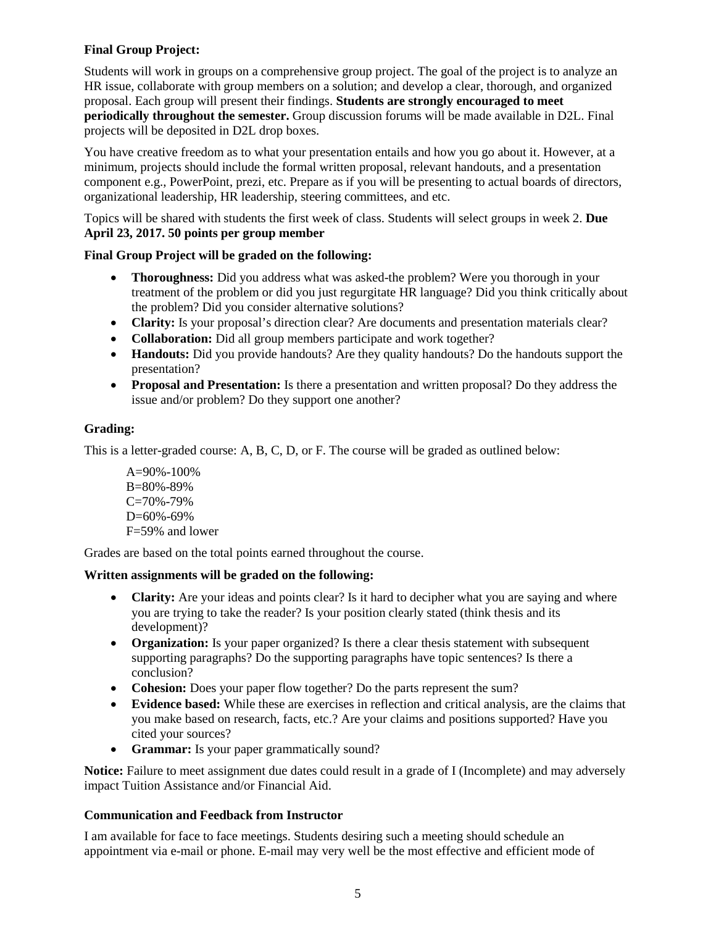# **Final Group Project:**

Students will work in groups on a comprehensive group project. The goal of the project is to analyze an HR issue, collaborate with group members on a solution; and develop a clear, thorough, and organized proposal. Each group will present their findings. **Students are strongly encouraged to meet periodically throughout the semester.** Group discussion forums will be made available in D2L. Final projects will be deposited in D2L drop boxes.

You have creative freedom as to what your presentation entails and how you go about it. However, at a minimum, projects should include the formal written proposal, relevant handouts, and a presentation component e.g., PowerPoint, prezi, etc. Prepare as if you will be presenting to actual boards of directors, organizational leadership, HR leadership, steering committees, and etc.

Topics will be shared with students the first week of class. Students will select groups in week 2. **Due April 23, 2017. 50 points per group member**

# **Final Group Project will be graded on the following:**

- **Thoroughness:** Did you address what was asked-the problem? Were you thorough in your treatment of the problem or did you just regurgitate HR language? Did you think critically about the problem? Did you consider alternative solutions?
- **Clarity:** Is your proposal's direction clear? Are documents and presentation materials clear?
- **Collaboration:** Did all group members participate and work together?
- **Handouts:** Did you provide handouts? Are they quality handouts? Do the handouts support the presentation?
- **Proposal and Presentation:** Is there a presentation and written proposal? Do they address the issue and/or problem? Do they support one another?

# **Grading:**

This is a letter-graded course: A, B, C, D, or F. The course will be graded as outlined below:

 $A=90\% - 100\%$ B=80%-89% C=70%-79% D=60%-69% F=59% and lower

Grades are based on the total points earned throughout the course.

# **Written assignments will be graded on the following:**

- **Clarity:** Are your ideas and points clear? Is it hard to decipher what you are saying and where you are trying to take the reader? Is your position clearly stated (think thesis and its development)?
- **Organization:** Is your paper organized? Is there a clear thesis statement with subsequent supporting paragraphs? Do the supporting paragraphs have topic sentences? Is there a conclusion?
- **Cohesion:** Does your paper flow together? Do the parts represent the sum?
- **Evidence based:** While these are exercises in reflection and critical analysis, are the claims that you make based on research, facts, etc.? Are your claims and positions supported? Have you cited your sources?
- **Grammar:** Is your paper grammatically sound?

**Notice:** Failure to meet assignment due dates could result in a grade of I (Incomplete) and may adversely impact Tuition Assistance and/or Financial Aid.

# **Communication and Feedback from Instructor**

I am available for face to face meetings. Students desiring such a meeting should schedule an appointment via e-mail or phone. E-mail may very well be the most effective and efficient mode of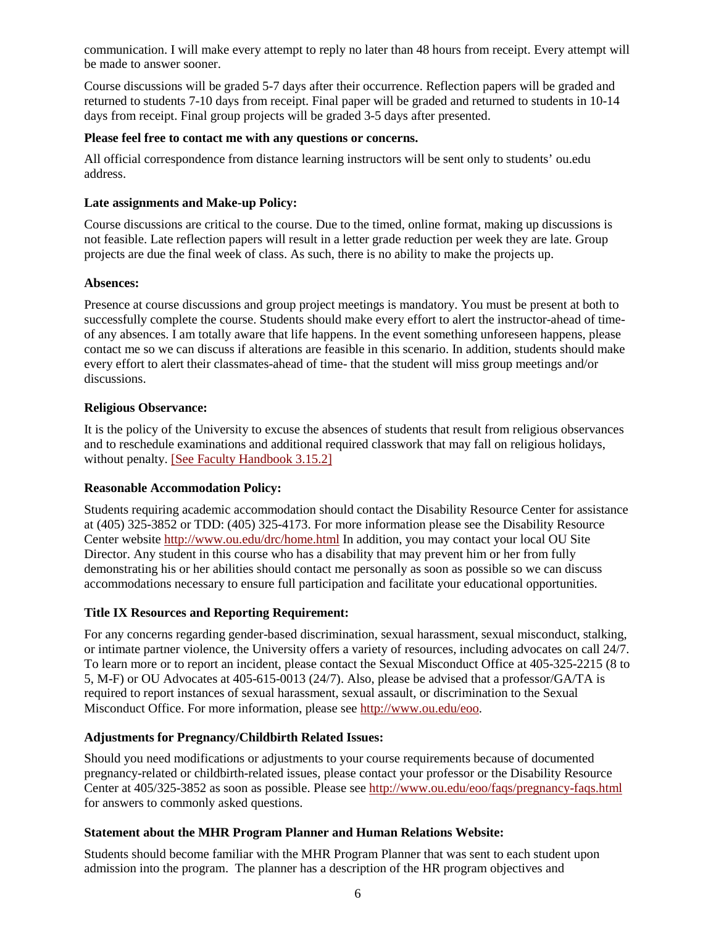communication. I will make every attempt to reply no later than 48 hours from receipt. Every attempt will be made to answer sooner.

Course discussions will be graded 5-7 days after their occurrence. Reflection papers will be graded and returned to students 7-10 days from receipt. Final paper will be graded and returned to students in 10-14 days from receipt. Final group projects will be graded 3-5 days after presented.

# **Please feel free to contact me with any questions or concerns.**

All official correspondence from distance learning instructors will be sent only to students' ou.edu address.

# **Late assignments and Make-up Policy:**

Course discussions are critical to the course. Due to the timed, online format, making up discussions is not feasible. Late reflection papers will result in a letter grade reduction per week they are late. Group projects are due the final week of class. As such, there is no ability to make the projects up.

# **Absences:**

Presence at course discussions and group project meetings is mandatory. You must be present at both to successfully complete the course. Students should make every effort to alert the instructor-ahead of timeof any absences. I am totally aware that life happens. In the event something unforeseen happens, please contact me so we can discuss if alterations are feasible in this scenario. In addition, students should make every effort to alert their classmates-ahead of time- that the student will miss group meetings and/or discussions.

# **Religious Observance:**

It is the policy of the University to excuse the absences of students that result from religious observances and to reschedule examinations and additional required classwork that may fall on religious holidays, without penalty. [\[See Faculty Handbook 3.15.2\]](https://apps.hr.ou.edu/FacultyHandbook/)

#### **Reasonable Accommodation Policy:**

Students requiring academic accommodation should contact the Disability Resource Center for assistance at (405) 325-3852 or TDD: (405) 325-4173. For more information please see the Disability Resource Center website<http://www.ou.edu/drc/home.html> In addition, you may contact your local OU Site Director. Any student in this course who has a disability that may prevent him or her from fully demonstrating his or her abilities should contact me personally as soon as possible so we can discuss accommodations necessary to ensure full participation and facilitate your educational opportunities.

# **Title IX Resources and Reporting Requirement:**

For any concerns regarding gender-based discrimination, sexual harassment, sexual misconduct, stalking, or intimate partner violence, the University offers a variety of resources, including advocates on call 24/7. To learn more or to report an incident, please contact the Sexual Misconduct Office at 405-325-2215 (8 to 5, M-F) or OU Advocates at 405-615-0013 (24/7). Also, please be advised that a professor/GA/TA is required to report instances of sexual harassment, sexual assault, or discrimination to the Sexual Misconduct Office. For more information, please see [http://www.ou.edu/eoo.](http://www.ou.edu/eoo)

# **Adjustments for Pregnancy/Childbirth Related Issues:**

Should you need modifications or adjustments to your course requirements because of documented pregnancy-related or childbirth-related issues, please contact your professor or the Disability Resource Center at 405/325-3852 as soon as possible. Please see<http://www.ou.edu/eoo/faqs/pregnancy-faqs.html> for answers to commonly asked questions.

# **Statement about the MHR Program Planner and Human Relations Website:**

Students should become familiar with the MHR Program Planner that was sent to each student upon admission into the program. The planner has a description of the HR program objectives and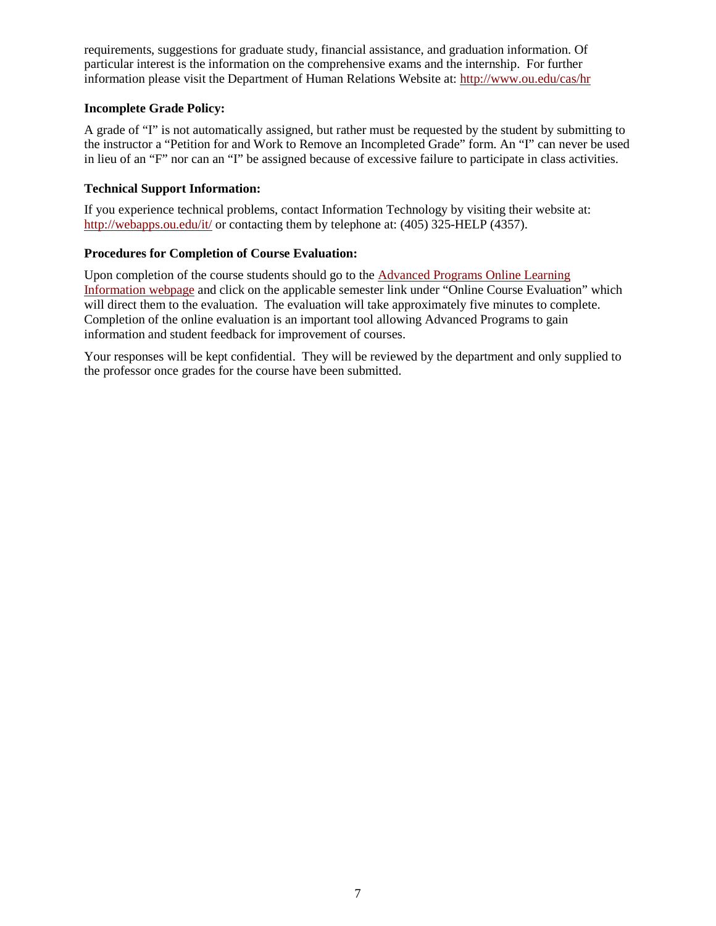requirements, suggestions for graduate study, financial assistance, and graduation information. Of particular interest is the information on the comprehensive exams and the internship. For further information please visit the Department of Human Relations Website at:<http://www.ou.edu/cas/hr>

# **Incomplete Grade Policy:**

A grade of "I" is not automatically assigned, but rather must be requested by the student by submitting to the instructor a "Petition for and Work to Remove an Incompleted Grade" form. An "I" can never be used in lieu of an "F" nor can an "I" be assigned because of excessive failure to participate in class activities.

# **Technical Support Information:**

If you experience technical problems, contact Information Technology by visiting their website at: <http://webapps.ou.edu/it/>or contacting them by telephone at: (405) 325-HELP (4357).

# **Procedures for Completion of Course Evaluation:**

Upon completion of the course students should go to the [Advanced Programs Online Learning](http://www.ou.edu/content/outreach/ap/student_resources/online_learning.html)  [Information webpage](http://www.ou.edu/content/outreach/ap/student_resources/online_learning.html) and click on the applicable semester link under "Online Course Evaluation" which will direct them to the evaluation. The evaluation will take approximately five minutes to complete. Completion of the online evaluation is an important tool allowing Advanced Programs to gain information and student feedback for improvement of courses.

Your responses will be kept confidential. They will be reviewed by the department and only supplied to the professor once grades for the course have been submitted.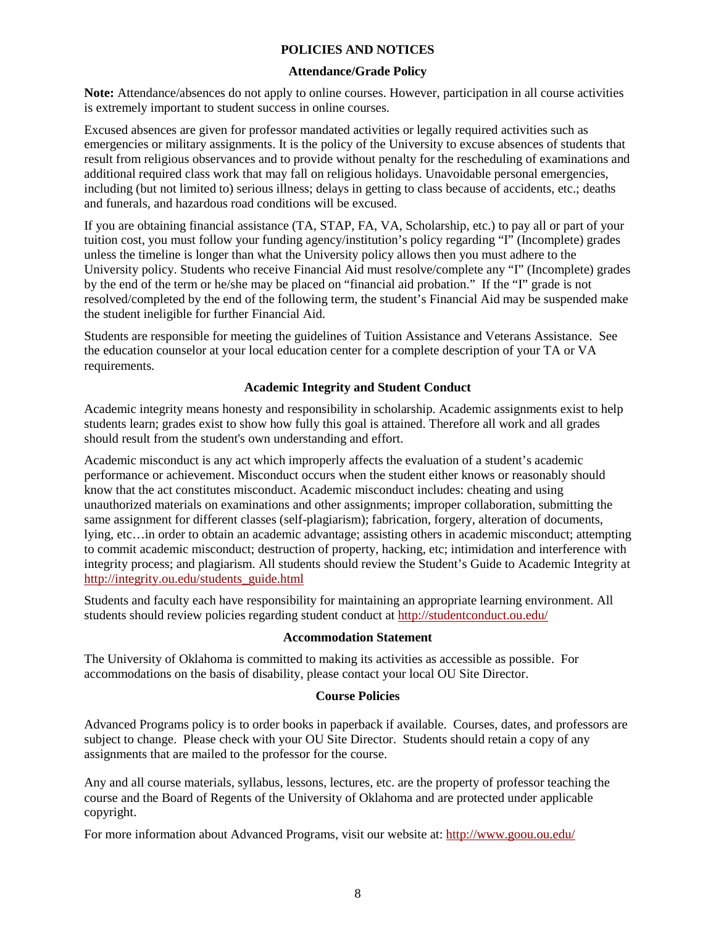### **POLICIES AND NOTICES**

#### **Attendance/Grade Policy**

**Note:** Attendance/absences do not apply to online courses. However, participation in all course activities is extremely important to student success in online courses.

Excused absences are given for professor mandated activities or legally required activities such as emergencies or military assignments. It is the policy of the University to excuse absences of students that result from religious observances and to provide without penalty for the rescheduling of examinations and additional required class work that may fall on religious holidays. Unavoidable personal emergencies, including (but not limited to) serious illness; delays in getting to class because of accidents, etc.; deaths and funerals, and hazardous road conditions will be excused.

If you are obtaining financial assistance (TA, STAP, FA, VA, Scholarship, etc.) to pay all or part of your tuition cost, you must follow your funding agency/institution's policy regarding "I" (Incomplete) grades unless the timeline is longer than what the University policy allows then you must adhere to the University policy. Students who receive Financial Aid must resolve/complete any "I" (Incomplete) grades by the end of the term or he/she may be placed on "financial aid probation." If the "I" grade is not resolved/completed by the end of the following term, the student's Financial Aid may be suspended make the student ineligible for further Financial Aid.

Students are responsible for meeting the guidelines of Tuition Assistance and Veterans Assistance. See the education counselor at your local education center for a complete description of your TA or VA requirements.

# **Academic Integrity and Student Conduct**

Academic integrity means honesty and responsibility in scholarship. Academic assignments exist to help students learn; grades exist to show how fully this goal is attained. Therefore all work and all grades should result from the student's own understanding and effort.

Academic misconduct is any act which improperly affects the evaluation of a student's academic performance or achievement. Misconduct occurs when the student either knows or reasonably should know that the act constitutes misconduct. Academic misconduct includes: cheating and using unauthorized materials on examinations and other assignments; improper collaboration, submitting the same assignment for different classes (self-plagiarism); fabrication, forgery, alteration of documents, lying, etc…in order to obtain an academic advantage; assisting others in academic misconduct; attempting to commit academic misconduct; destruction of property, hacking, etc; intimidation and interference with integrity process; and plagiarism. All students should review the Student's Guide to Academic Integrity at [http://integrity.ou.edu/students\\_guide.html](http://integrity.ou.edu/students_guide.html)

Students and faculty each have responsibility for maintaining an appropriate learning environment. All students should review policies regarding student conduct at<http://studentconduct.ou.edu/>

## **Accommodation Statement**

The University of Oklahoma is committed to making its activities as accessible as possible. For accommodations on the basis of disability, please contact your local OU Site Director.

#### **Course Policies**

Advanced Programs policy is to order books in paperback if available. Courses, dates, and professors are subject to change. Please check with your OU Site Director. Students should retain a copy of any assignments that are mailed to the professor for the course.

Any and all course materials, syllabus, lessons, lectures, etc. are the property of professor teaching the course and the Board of Regents of the University of Oklahoma and are protected under applicable copyright.

For more information about Advanced Programs, visit our website at:<http://www.goou.ou.edu/>